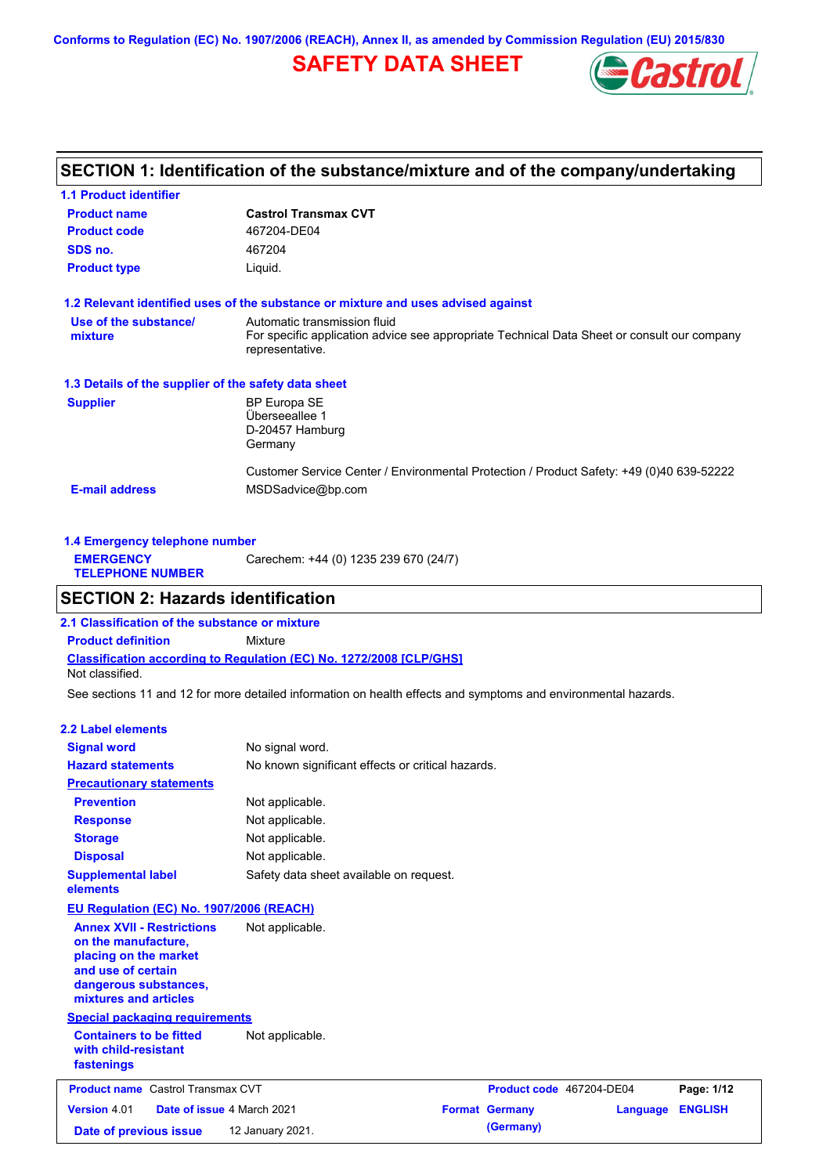**Conforms to Regulation (EC) No. 1907/2006 (REACH), Annex II, as amended by Commission Regulation (EU) 2015/830**

# **SAFETY DATA SHEET**



# **SECTION 1: Identification of the substance/mixture and of the company/undertaking**

| <b>1.1 Product identifier</b>                        |                                                                                                                |
|------------------------------------------------------|----------------------------------------------------------------------------------------------------------------|
| <b>Product name</b>                                  | <b>Castrol Transmax CVT</b>                                                                                    |
| <b>Product code</b>                                  | 467204-DE04                                                                                                    |
| SDS no.                                              | 467204                                                                                                         |
| <b>Product type</b>                                  | Liquid.                                                                                                        |
|                                                      | 1.2 Relevant identified uses of the substance or mixture and uses advised against                              |
| Use of the substance/                                | Automatic transmission fluid                                                                                   |
| mixture                                              | For specific application advice see appropriate Technical Data Sheet or consult our company<br>representative. |
| 1.3 Details of the supplier of the safety data sheet |                                                                                                                |
| <b>Supplier</b>                                      | <b>BP Europa SE</b>                                                                                            |
|                                                      | Überseeallee 1                                                                                                 |
|                                                      | D-20457 Hamburg<br>Germany                                                                                     |
|                                                      | Customer Service Center / Environmental Protection / Product Safety: +49 (0)40 639-52222                       |
| <b>E-mail address</b>                                | MSDSadvice@bp.com                                                                                              |
|                                                      |                                                                                                                |

| 1.4 Emergency telephone number              |                                       |  |  |  |
|---------------------------------------------|---------------------------------------|--|--|--|
| <b>EMERGENCY</b><br><b>TELEPHONE NUMBER</b> | Carechem: +44 (0) 1235 239 670 (24/7) |  |  |  |

# **SECTION 2: Hazards identification**

**Classification according to Regulation (EC) No. 1272/2008 [CLP/GHS] 2.1 Classification of the substance or mixture Product definition** Mixture Not classified.

See sections 11 and 12 for more detailed information on health effects and symptoms and environmental hazards.

#### **2.2 Label elements**

| <b>Signal word</b>                                                                                                                                       | No signal word.                                   |                          |          |                |
|----------------------------------------------------------------------------------------------------------------------------------------------------------|---------------------------------------------------|--------------------------|----------|----------------|
| <b>Hazard statements</b>                                                                                                                                 | No known significant effects or critical hazards. |                          |          |                |
| <b>Precautionary statements</b>                                                                                                                          |                                                   |                          |          |                |
| <b>Prevention</b>                                                                                                                                        | Not applicable.                                   |                          |          |                |
| <b>Response</b>                                                                                                                                          | Not applicable.                                   |                          |          |                |
| <b>Storage</b>                                                                                                                                           | Not applicable.                                   |                          |          |                |
| <b>Disposal</b>                                                                                                                                          | Not applicable.                                   |                          |          |                |
| <b>Supplemental label</b><br>elements                                                                                                                    | Safety data sheet available on request.           |                          |          |                |
| EU Regulation (EC) No. 1907/2006 (REACH)                                                                                                                 |                                                   |                          |          |                |
| <b>Annex XVII - Restrictions</b><br>on the manufacture,<br>placing on the market<br>and use of certain<br>dangerous substances,<br>mixtures and articles | Not applicable.                                   |                          |          |                |
| <b>Special packaging requirements</b>                                                                                                                    |                                                   |                          |          |                |
| <b>Containers to be fitted</b><br>with child-resistant<br>fastenings                                                                                     | Not applicable.                                   |                          |          |                |
| <b>Product name</b> Castrol Transmax CVT                                                                                                                 |                                                   | Product code 467204-DE04 |          | Page: 1/12     |
| <b>Version 4.01</b><br>Date of issue 4 March 2021                                                                                                        |                                                   | <b>Format Germany</b>    | Language | <b>ENGLISH</b> |
| Date of previous issue                                                                                                                                   | 12 January 2021.                                  | (Germany)                |          |                |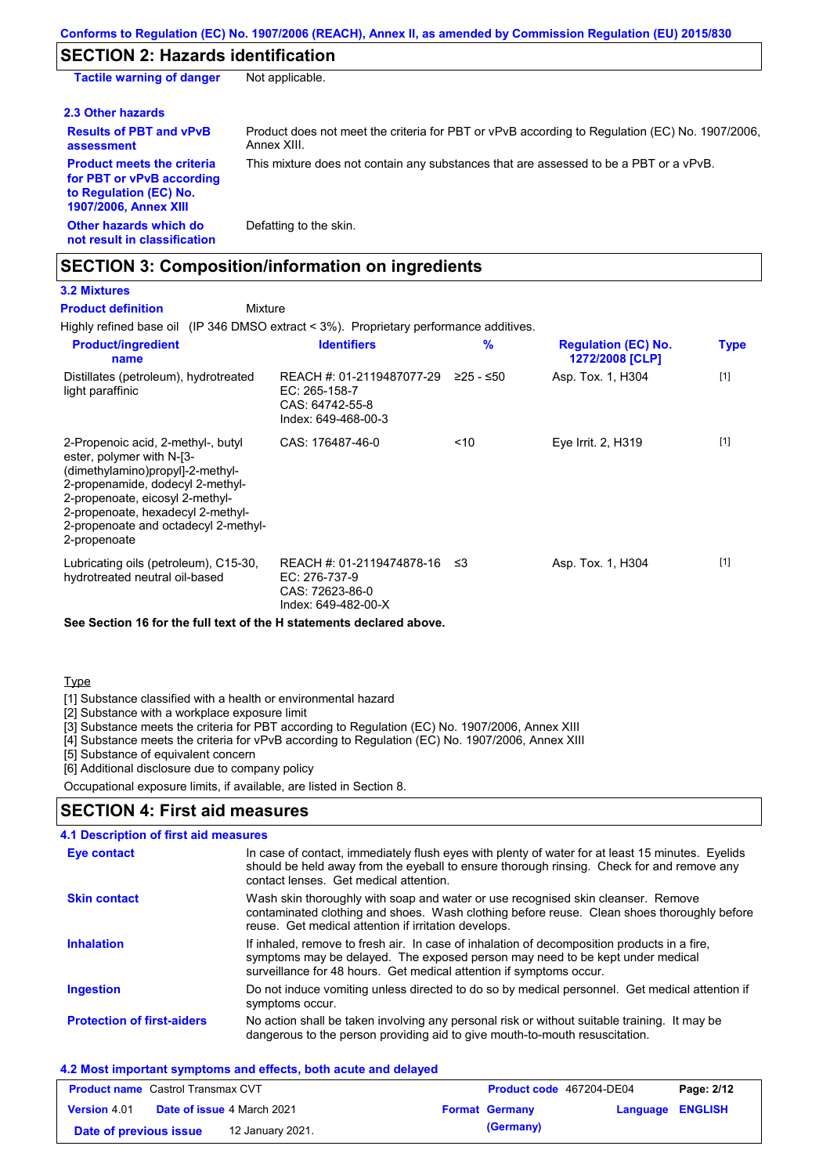# **SECTION 2: Hazards identification**

| <b>Tactile warning of danger</b>                                                                                         | Not applicable.                                                                                               |
|--------------------------------------------------------------------------------------------------------------------------|---------------------------------------------------------------------------------------------------------------|
| 2.3 Other hazards                                                                                                        |                                                                                                               |
| <b>Results of PBT and vPvB</b><br>assessment                                                                             | Product does not meet the criteria for PBT or vPvB according to Regulation (EC) No. 1907/2006.<br>Annex XIII. |
| <b>Product meets the criteria</b><br>for PBT or vPvB according<br>to Regulation (EC) No.<br><b>1907/2006, Annex XIII</b> | This mixture does not contain any substances that are assessed to be a PBT or a vPvB.                         |
| Other hazards which do<br>not result in classification                                                                   | Defatting to the skin.                                                                                        |

## **SECTION 3: Composition/information on ingredients**

# **3.2 Mixtures**

**Product definition**

Mixture

Highly refined base oil (IP 346 DMSO extract < 3%). Proprietary performance additives.

| <b>Product/ingredient</b><br>name                                                                                                                                                                                                                                       | <b>Identifiers</b>                                                                   | %           | <b>Regulation (EC) No.</b><br>1272/2008 [CLP] | <b>Type</b> |
|-------------------------------------------------------------------------------------------------------------------------------------------------------------------------------------------------------------------------------------------------------------------------|--------------------------------------------------------------------------------------|-------------|-----------------------------------------------|-------------|
| Distillates (petroleum), hydrotreated<br>light paraffinic                                                                                                                                                                                                               | REACH #: 01-2119487077-29<br>EC: 265-158-7<br>CAS: 64742-55-8<br>Index: 649-468-00-3 | $≥25 - ≤50$ | Asp. Tox. 1, H304                             | $[1]$       |
| 2-Propenoic acid, 2-methyl-, butyl<br>ester, polymer with N-[3-<br>(dimethylamino)propyl]-2-methyl-<br>2-propenamide, dodecyl 2-methyl-<br>2-propenoate, eicosyl 2-methyl-<br>2-propenoate, hexadecyl 2-methyl-<br>2-propenoate and octadecyl 2-methyl-<br>2-propenoate | CAS: 176487-46-0                                                                     | < 10        | Eye Irrit. 2, H319                            | $[1]$       |
| Lubricating oils (petroleum), C15-30,<br>hydrotreated neutral oil-based                                                                                                                                                                                                 | REACH #: 01-2119474878-16<br>EC: 276-737-9<br>CAS: 72623-86-0<br>Index: 649-482-00-X | -≤3         | Asp. Tox. 1, H304                             | $[1]$       |

#### **See Section 16 for the full text of the H statements declared above.**

### Type

[1] Substance classified with a health or environmental hazard

[2] Substance with a workplace exposure limit

[3] Substance meets the criteria for PBT according to Regulation (EC) No. 1907/2006, Annex XIII

[4] Substance meets the criteria for vPvB according to Regulation (EC) No. 1907/2006, Annex XIII

[5] Substance of equivalent concern

[6] Additional disclosure due to company policy

Occupational exposure limits, if available, are listed in Section 8.

### **SECTION 4: First aid measures**

| 4.1 Description of first aid measures |                                                                                                                                                                                                                                                     |
|---------------------------------------|-----------------------------------------------------------------------------------------------------------------------------------------------------------------------------------------------------------------------------------------------------|
| <b>Eye contact</b>                    | In case of contact, immediately flush eyes with plenty of water for at least 15 minutes. Eyelids<br>should be held away from the eyeball to ensure thorough rinsing. Check for and remove any<br>contact lenses. Get medical attention.             |
| <b>Skin contact</b>                   | Wash skin thoroughly with soap and water or use recognised skin cleanser. Remove<br>contaminated clothing and shoes. Wash clothing before reuse. Clean shoes thoroughly before<br>reuse. Get medical attention if irritation develops.              |
| <b>Inhalation</b>                     | If inhaled, remove to fresh air. In case of inhalation of decomposition products in a fire,<br>symptoms may be delayed. The exposed person may need to be kept under medical<br>surveillance for 48 hours. Get medical attention if symptoms occur. |
| <b>Ingestion</b>                      | Do not induce vomiting unless directed to do so by medical personnel. Get medical attention if<br>symptoms occur.                                                                                                                                   |
| <b>Protection of first-aiders</b>     | No action shall be taken involving any personal risk or without suitable training. It may be<br>dangerous to the person providing aid to give mouth-to-mouth resuscitation.                                                                         |

#### **4.2 Most important symptoms and effects, both acute and delayed**

| <b>Product name</b> Castrol Transmax CVT |                                   | <b>Product code</b> 467204-DE04 |  | Page: 2/12            |                         |  |
|------------------------------------------|-----------------------------------|---------------------------------|--|-----------------------|-------------------------|--|
| <b>Version 4.01</b>                      | <b>Date of issue 4 March 2021</b> |                                 |  | <b>Format Germany</b> | <b>Language ENGLISH</b> |  |
| Date of previous issue                   |                                   | 12 January 2021.                |  | (Germany)             |                         |  |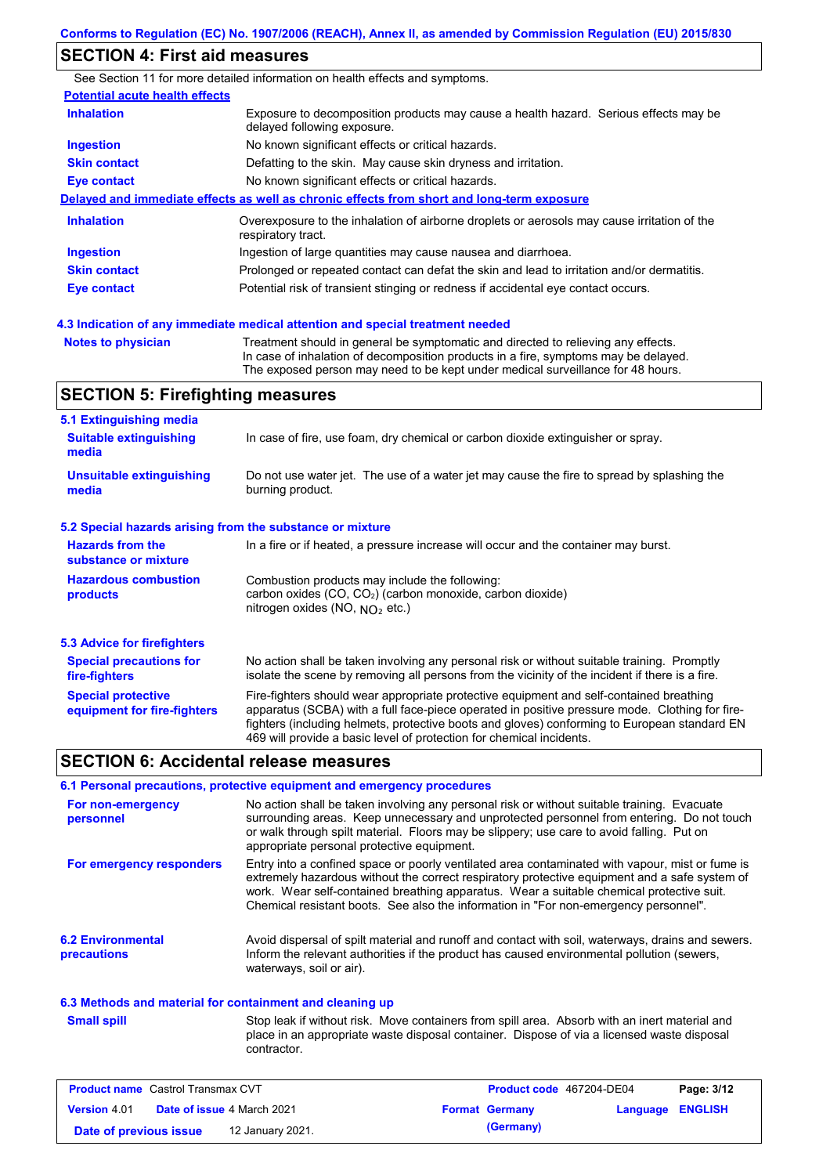# **SECTION 4: First aid measures**

|                                       | See Section 11 for more detailed information on health effects and symptoms.                                        |  |  |  |
|---------------------------------------|---------------------------------------------------------------------------------------------------------------------|--|--|--|
| <b>Potential acute health effects</b> |                                                                                                                     |  |  |  |
| <b>Inhalation</b>                     | Exposure to decomposition products may cause a health hazard. Serious effects may be<br>delayed following exposure. |  |  |  |
| <b>Ingestion</b>                      | No known significant effects or critical hazards.                                                                   |  |  |  |
| <b>Skin contact</b>                   | Defatting to the skin. May cause skin dryness and irritation.                                                       |  |  |  |
| <b>Eye contact</b>                    | No known significant effects or critical hazards.                                                                   |  |  |  |
|                                       | Delayed and immediate effects as well as chronic effects from short and long-term exposure                          |  |  |  |
| <b>Inhalation</b>                     | Overexposure to the inhalation of airborne droplets or aerosols may cause irritation of the<br>respiratory tract.   |  |  |  |
| Ingestion                             | Ingestion of large quantities may cause nausea and diarrhoea.                                                       |  |  |  |
| <b>Skin contact</b>                   | Prolonged or repeated contact can defat the skin and lead to irritation and/or dermatitis.                          |  |  |  |
| Eye contact                           | Potential risk of transient stinging or redness if accidental eye contact occurs.                                   |  |  |  |
|                                       |                                                                                                                     |  |  |  |

**Notes to physician** Treatment should in general be symptomatic and directed to relieving any effects. In case of inhalation of decomposition products in a fire, symptoms may be delayed. The exposed person may need to be kept under medical surveillance for 48 hours. **4.3 Indication of any immediate medical attention and special treatment needed**

## **SECTION 5: Firefighting measures**

| 5.1 Extinguishing media                                   |                                                                                                                                                                                                                                                                                                                                                                   |  |  |
|-----------------------------------------------------------|-------------------------------------------------------------------------------------------------------------------------------------------------------------------------------------------------------------------------------------------------------------------------------------------------------------------------------------------------------------------|--|--|
| <b>Suitable extinguishing</b><br>media                    | In case of fire, use foam, dry chemical or carbon dioxide extinguisher or spray.                                                                                                                                                                                                                                                                                  |  |  |
| <b>Unsuitable extinguishing</b><br>media                  | Do not use water jet. The use of a water jet may cause the fire to spread by splashing the<br>burning product.                                                                                                                                                                                                                                                    |  |  |
| 5.2 Special hazards arising from the substance or mixture |                                                                                                                                                                                                                                                                                                                                                                   |  |  |
| <b>Hazards from the</b><br>substance or mixture           | In a fire or if heated, a pressure increase will occur and the container may burst.                                                                                                                                                                                                                                                                               |  |  |
| <b>Hazardous combustion</b><br>products                   | Combustion products may include the following:<br>carbon oxides (CO, CO <sub>2</sub> ) (carbon monoxide, carbon dioxide)<br>nitrogen oxides (NO, $NO2$ etc.)                                                                                                                                                                                                      |  |  |
| 5.3 Advice for firefighters                               |                                                                                                                                                                                                                                                                                                                                                                   |  |  |
| <b>Special precautions for</b><br>fire-fighters           | No action shall be taken involving any personal risk or without suitable training. Promptly<br>isolate the scene by removing all persons from the vicinity of the incident if there is a fire.                                                                                                                                                                    |  |  |
| <b>Special protective</b><br>equipment for fire-fighters  | Fire-fighters should wear appropriate protective equipment and self-contained breathing<br>apparatus (SCBA) with a full face-piece operated in positive pressure mode. Clothing for fire-<br>fighters (including helmets, protective boots and gloves) conforming to European standard EN<br>469 will provide a basic level of protection for chemical incidents. |  |  |

### **SECTION 6: Accidental release measures**

#### **6.1 Personal precautions, protective equipment and emergency procedures**

| For non-emergency<br>personnel          | No action shall be taken involving any personal risk or without suitable training. Evacuate<br>surrounding areas. Keep unnecessary and unprotected personnel from entering. Do not touch<br>or walk through spilt material. Floors may be slippery; use care to avoid falling. Put on<br>appropriate personal protective equipment.                                                  |
|-----------------------------------------|--------------------------------------------------------------------------------------------------------------------------------------------------------------------------------------------------------------------------------------------------------------------------------------------------------------------------------------------------------------------------------------|
| For emergency responders                | Entry into a confined space or poorly ventilated area contaminated with vapour, mist or fume is<br>extremely hazardous without the correct respiratory protective equipment and a safe system of<br>work. Wear self-contained breathing apparatus. Wear a suitable chemical protective suit.<br>Chemical resistant boots. See also the information in "For non-emergency personnel". |
| <b>6.2 Environmental</b><br>precautions | Avoid dispersal of spilt material and runoff and contact with soil, waterways, drains and sewers.<br>Inform the relevant authorities if the product has caused environmental pollution (sewers,<br>waterways, soil or air).                                                                                                                                                          |

#### **6.3 Methods and material for containment and cleaning up**

**Small spill**

Stop leak if without risk. Move containers from spill area. Absorb with an inert material and place in an appropriate waste disposal container. Dispose of via a licensed waste disposal contractor.

| <b>Product name</b> Castrol Transmax CVT |  |                                   | <b>Product code</b> 467204-DE04 | Page: 3/12       |  |
|------------------------------------------|--|-----------------------------------|---------------------------------|------------------|--|
| <b>Version 4.01</b>                      |  | <b>Date of issue 4 March 2021</b> | <b>Format Germany</b>           | Language ENGLISH |  |
| Date of previous issue                   |  | 12 January 2021.                  | (Germany)                       |                  |  |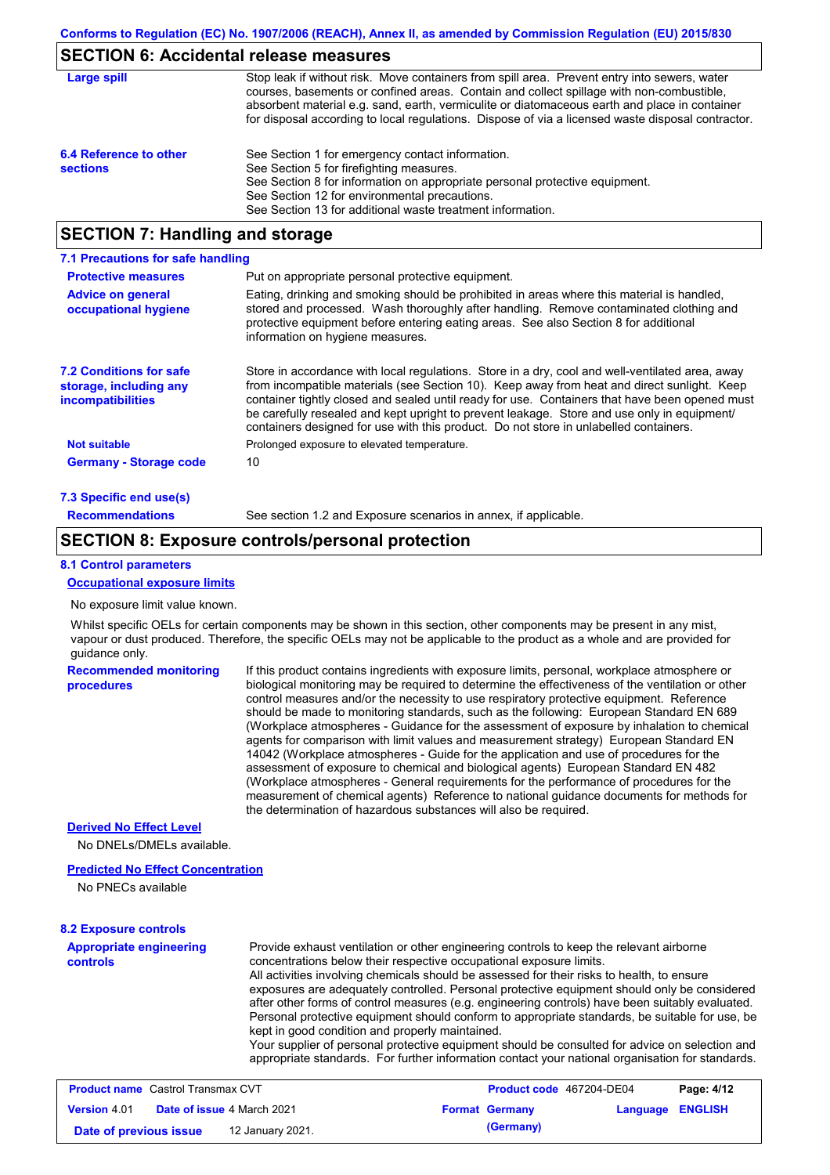## **SECTION 6: Accidental release measures**

| Large spill                               | Stop leak if without risk. Move containers from spill area. Prevent entry into sewers, water<br>courses, basements or confined areas. Contain and collect spillage with non-combustible,<br>absorbent material e.g. sand, earth, vermiculite or diatomaceous earth and place in container<br>for disposal according to local regulations. Dispose of via a licensed waste disposal contractor. |
|-------------------------------------------|------------------------------------------------------------------------------------------------------------------------------------------------------------------------------------------------------------------------------------------------------------------------------------------------------------------------------------------------------------------------------------------------|
| 6.4 Reference to other<br><b>sections</b> | See Section 1 for emergency contact information.<br>See Section 5 for firefighting measures.<br>See Section 8 for information on appropriate personal protective equipment.<br>See Section 12 for environmental precautions.<br>See Section 13 for additional waste treatment information.                                                                                                     |

# **SECTION 7: Handling and storage**

| 7.1 Precautions for safe handling                                                    |                                                                                                                                                                                                                                                                                                                                                                                                                                                                                          |
|--------------------------------------------------------------------------------------|------------------------------------------------------------------------------------------------------------------------------------------------------------------------------------------------------------------------------------------------------------------------------------------------------------------------------------------------------------------------------------------------------------------------------------------------------------------------------------------|
| <b>Protective measures</b>                                                           | Put on appropriate personal protective equipment.                                                                                                                                                                                                                                                                                                                                                                                                                                        |
| <b>Advice on general</b><br>occupational hygiene                                     | Eating, drinking and smoking should be prohibited in areas where this material is handled.<br>stored and processed. Wash thoroughly after handling. Remove contaminated clothing and<br>protective equipment before entering eating areas. See also Section 8 for additional<br>information on hygiene measures.                                                                                                                                                                         |
| <b>7.2 Conditions for safe</b><br>storage, including any<br><i>incompatibilities</i> | Store in accordance with local requiations. Store in a dry, cool and well-ventilated area, away<br>from incompatible materials (see Section 10). Keep away from heat and direct sunlight. Keep<br>container tightly closed and sealed until ready for use. Containers that have been opened must<br>be carefully resealed and kept upright to prevent leakage. Store and use only in equipment/<br>containers designed for use with this product. Do not store in unlabelled containers. |
| <b>Not suitable</b>                                                                  | Prolonged exposure to elevated temperature.                                                                                                                                                                                                                                                                                                                                                                                                                                              |
| <b>Germany - Storage code</b>                                                        | 10                                                                                                                                                                                                                                                                                                                                                                                                                                                                                       |
| 7.3 Specific end use(s)                                                              |                                                                                                                                                                                                                                                                                                                                                                                                                                                                                          |
| <b>Recommendations</b>                                                               | See section 1.2 and Exposure scenarios in annex, if applicable.                                                                                                                                                                                                                                                                                                                                                                                                                          |

### **SECTION 8: Exposure controls/personal protection**

#### **8.1 Control parameters**

#### **Occupational exposure limits**

#### No exposure limit value known.

Whilst specific OELs for certain components may be shown in this section, other components may be present in any mist, vapour or dust produced. Therefore, the specific OELs may not be applicable to the product as a whole and are provided for guidance only.

**Recommended monitoring procedures** If this product contains ingredients with exposure limits, personal, workplace atmosphere or biological monitoring may be required to determine the effectiveness of the ventilation or other control measures and/or the necessity to use respiratory protective equipment. Reference should be made to monitoring standards, such as the following: European Standard EN 689 (Workplace atmospheres - Guidance for the assessment of exposure by inhalation to chemical agents for comparison with limit values and measurement strategy) European Standard EN 14042 (Workplace atmospheres - Guide for the application and use of procedures for the assessment of exposure to chemical and biological agents) European Standard EN 482 (Workplace atmospheres - General requirements for the performance of procedures for the measurement of chemical agents) Reference to national guidance documents for methods for the determination of hazardous substances will also be required.

#### **Derived No Effect Level**

No DNELs/DMELs available.

#### **Predicted No Effect Concentration**

No PNECs available

### **8.2 Exposure controls**

**Appropriate engineering controls** Provide exhaust ventilation or other engineering controls to keep the relevant airborne concentrations below their respective occupational exposure limits. All activities involving chemicals should be assessed for their risks to health, to ensure exposures are adequately controlled. Personal protective equipment should only be considered after other forms of control measures (e.g. engineering controls) have been suitably evaluated. Personal protective equipment should conform to appropriate standards, be suitable for use, be kept in good condition and properly maintained. Your supplier of personal protective equipment should be consulted for advice on selection and appropriate standards. For further information contact your national organisation for standards.

| <b>Product name</b> Castrol Transmax CVT |  | <b>Product code</b> 467204-DE04   |  | Page: 4/12            |                  |  |
|------------------------------------------|--|-----------------------------------|--|-----------------------|------------------|--|
| <b>Version 4.01</b>                      |  | <b>Date of issue 4 March 2021</b> |  | <b>Format Germany</b> | Language ENGLISH |  |
| Date of previous issue                   |  | 12 January 2021.                  |  | (Germany)             |                  |  |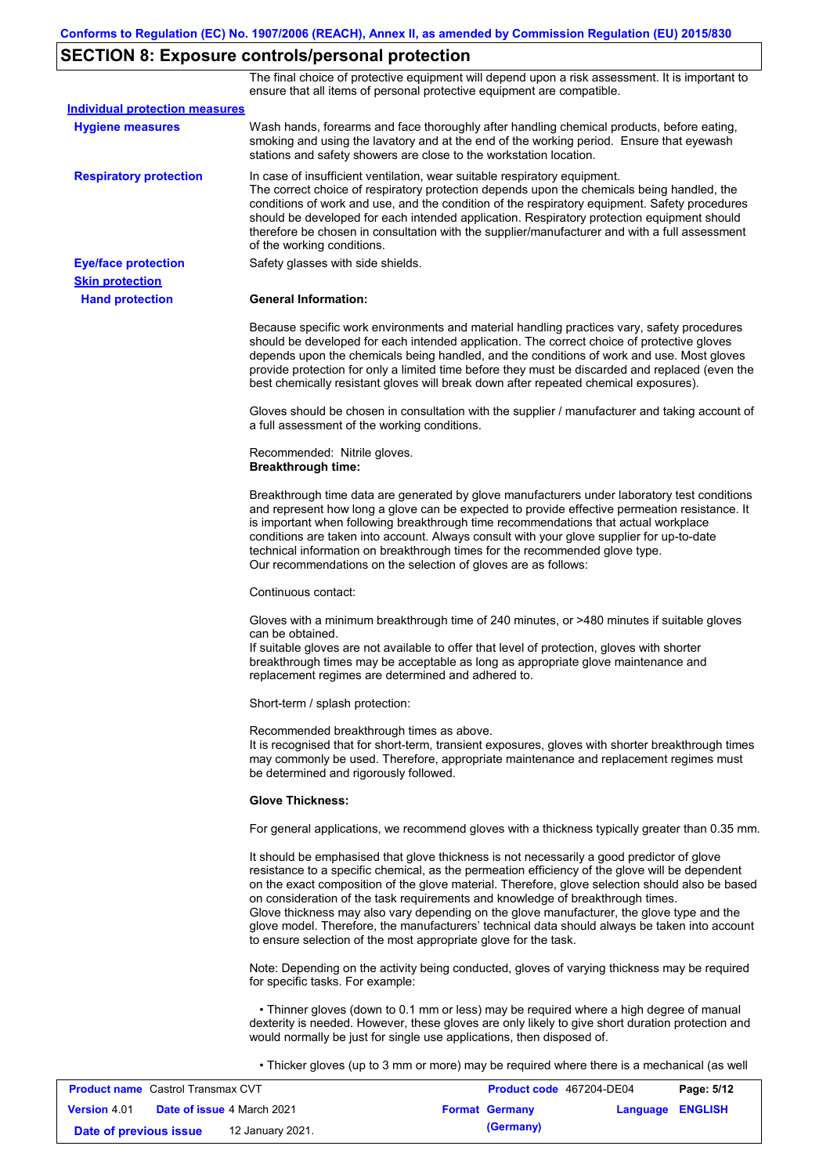# **SECTION 8: Exposure controls/personal protection**

The final choice of protective equipment will depend upon a risk assessment. It is important to ensure that all items of personal protective equipment are compatible.

| <b>Individual protection measures</b> |                                                                                                                                                                                                                                                                                                                                                                                                                                                                                                                                                                                                                                                   |
|---------------------------------------|---------------------------------------------------------------------------------------------------------------------------------------------------------------------------------------------------------------------------------------------------------------------------------------------------------------------------------------------------------------------------------------------------------------------------------------------------------------------------------------------------------------------------------------------------------------------------------------------------------------------------------------------------|
| <b>Hygiene measures</b>               | Wash hands, forearms and face thoroughly after handling chemical products, before eating,<br>smoking and using the lavatory and at the end of the working period. Ensure that eyewash<br>stations and safety showers are close to the workstation location.                                                                                                                                                                                                                                                                                                                                                                                       |
| <b>Respiratory protection</b>         | In case of insufficient ventilation, wear suitable respiratory equipment.<br>The correct choice of respiratory protection depends upon the chemicals being handled, the<br>conditions of work and use, and the condition of the respiratory equipment. Safety procedures<br>should be developed for each intended application. Respiratory protection equipment should<br>therefore be chosen in consultation with the supplier/manufacturer and with a full assessment<br>of the working conditions.                                                                                                                                             |
| <b>Eye/face protection</b>            | Safety glasses with side shields.                                                                                                                                                                                                                                                                                                                                                                                                                                                                                                                                                                                                                 |
| <b>Skin protection</b>                |                                                                                                                                                                                                                                                                                                                                                                                                                                                                                                                                                                                                                                                   |
| <b>Hand protection</b>                | <b>General Information:</b>                                                                                                                                                                                                                                                                                                                                                                                                                                                                                                                                                                                                                       |
|                                       | Because specific work environments and material handling practices vary, safety procedures<br>should be developed for each intended application. The correct choice of protective gloves<br>depends upon the chemicals being handled, and the conditions of work and use. Most gloves<br>provide protection for only a limited time before they must be discarded and replaced (even the<br>best chemically resistant gloves will break down after repeated chemical exposures).                                                                                                                                                                  |
|                                       | Gloves should be chosen in consultation with the supplier / manufacturer and taking account of<br>a full assessment of the working conditions.                                                                                                                                                                                                                                                                                                                                                                                                                                                                                                    |
|                                       | Recommended: Nitrile gloves.<br><b>Breakthrough time:</b>                                                                                                                                                                                                                                                                                                                                                                                                                                                                                                                                                                                         |
|                                       | Breakthrough time data are generated by glove manufacturers under laboratory test conditions<br>and represent how long a glove can be expected to provide effective permeation resistance. It<br>is important when following breakthrough time recommendations that actual workplace<br>conditions are taken into account. Always consult with your glove supplier for up-to-date<br>technical information on breakthrough times for the recommended glove type.<br>Our recommendations on the selection of gloves are as follows:                                                                                                                |
|                                       | Continuous contact:                                                                                                                                                                                                                                                                                                                                                                                                                                                                                                                                                                                                                               |
|                                       | Gloves with a minimum breakthrough time of 240 minutes, or >480 minutes if suitable gloves<br>can be obtained.<br>If suitable gloves are not available to offer that level of protection, gloves with shorter<br>breakthrough times may be acceptable as long as appropriate glove maintenance and<br>replacement regimes are determined and adhered to.                                                                                                                                                                                                                                                                                          |
|                                       | Short-term / splash protection:                                                                                                                                                                                                                                                                                                                                                                                                                                                                                                                                                                                                                   |
|                                       | Recommended breakthrough times as above.<br>It is recognised that for short-term, transient exposures, gloves with shorter breakthrough times<br>may commonly be used. Therefore, appropriate maintenance and replacement regimes must<br>be determined and rigorously followed.                                                                                                                                                                                                                                                                                                                                                                  |
|                                       | <b>Glove Thickness:</b>                                                                                                                                                                                                                                                                                                                                                                                                                                                                                                                                                                                                                           |
|                                       | For general applications, we recommend gloves with a thickness typically greater than 0.35 mm.                                                                                                                                                                                                                                                                                                                                                                                                                                                                                                                                                    |
|                                       | It should be emphasised that glove thickness is not necessarily a good predictor of glove<br>resistance to a specific chemical, as the permeation efficiency of the glove will be dependent<br>on the exact composition of the glove material. Therefore, glove selection should also be based<br>on consideration of the task requirements and knowledge of breakthrough times.<br>Glove thickness may also vary depending on the glove manufacturer, the glove type and the<br>glove model. Therefore, the manufacturers' technical data should always be taken into account<br>to ensure selection of the most appropriate glove for the task. |
|                                       | Note: Depending on the activity being conducted, gloves of varying thickness may be required<br>for specific tasks. For example:                                                                                                                                                                                                                                                                                                                                                                                                                                                                                                                  |
|                                       | • Thinner gloves (down to 0.1 mm or less) may be required where a high degree of manual<br>dexterity is needed. However, these gloves are only likely to give short duration protection and<br>would normally be just for single use applications, then disposed of.                                                                                                                                                                                                                                                                                                                                                                              |
|                                       | • Thicker gloves (up to 3 mm or more) may be required where there is a mechanical (as well                                                                                                                                                                                                                                                                                                                                                                                                                                                                                                                                                        |

| <b>Product name</b> Castrol Transmax CVT |  | <b>Product code</b> 467204-DE04   |  | Page: 5/12            |                         |  |
|------------------------------------------|--|-----------------------------------|--|-----------------------|-------------------------|--|
| <b>Version 4.01</b>                      |  | <b>Date of issue 4 March 2021</b> |  | <b>Format Germany</b> | <b>Language ENGLISH</b> |  |
| Date of previous issue                   |  | 12 January 2021.                  |  | (Germany)             |                         |  |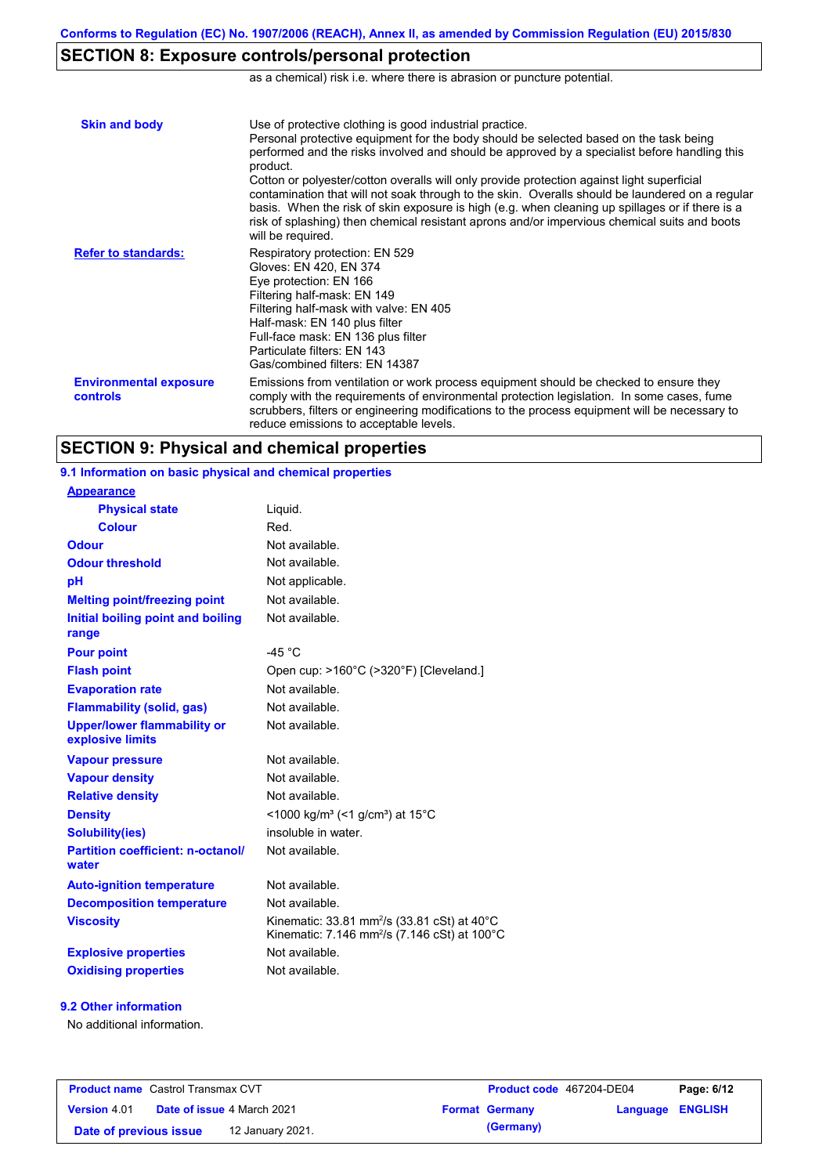# **SECTION 8: Exposure controls/personal protection**

as a chemical) risk i.e. where there is abrasion or puncture potential.

| <b>Skin and body</b>                             | Use of protective clothing is good industrial practice.<br>Personal protective equipment for the body should be selected based on the task being<br>performed and the risks involved and should be approved by a specialist before handling this<br>product.<br>Cotton or polyester/cotton overalls will only provide protection against light superficial<br>contamination that will not soak through to the skin. Overalls should be laundered on a regular<br>basis. When the risk of skin exposure is high (e.g. when cleaning up spillages or if there is a<br>risk of splashing) then chemical resistant aprons and/or impervious chemical suits and boots<br>will be required. |
|--------------------------------------------------|---------------------------------------------------------------------------------------------------------------------------------------------------------------------------------------------------------------------------------------------------------------------------------------------------------------------------------------------------------------------------------------------------------------------------------------------------------------------------------------------------------------------------------------------------------------------------------------------------------------------------------------------------------------------------------------|
| <b>Refer to standards:</b>                       | Respiratory protection: EN 529<br>Gloves: EN 420, EN 374<br>Eye protection: EN 166<br>Filtering half-mask: EN 149<br>Filtering half-mask with valve: EN 405<br>Half-mask: EN 140 plus filter<br>Full-face mask: EN 136 plus filter<br>Particulate filters: EN 143<br>Gas/combined filters: EN 14387                                                                                                                                                                                                                                                                                                                                                                                   |
| <b>Environmental exposure</b><br><b>controls</b> | Emissions from ventilation or work process equipment should be checked to ensure they<br>comply with the requirements of environmental protection legislation. In some cases, fume<br>scrubbers, filters or engineering modifications to the process equipment will be necessary to<br>reduce emissions to acceptable levels.                                                                                                                                                                                                                                                                                                                                                         |

## **SECTION 9: Physical and chemical properties**

Not available. **Physical state Melting point/freezing point Initial boiling point and boiling range Vapour pressure Relative density Vapour density** Liquid. Not available. Not available. Not available. Not available. **Odour** Not available. **pH Colour** Red. **Evaporation rate** Not available. **Auto-ignition temperature Flash point** Not available. Open cup: >160°C (>320°F) [Cleveland.] Not available. Not available. Not available. Not applicable. **Viscosity Kinematic: 33.81 mm<sup>2</sup>/s (33.81 cSt) at 40°C** Kinematic: 7.146 mm<sup>2</sup>/s (7.146 cSt) at 100°C **Odour threshold** Not available. **Partition coefficient: n-octanol/ water Upper/lower flammability or explosive limits Explosive properties Oxidising properties** Not available. **9.1 Information on basic physical and chemical properties Appearance Decomposition temperature** Not available. **Flammability (solid, gas)** Not available. **Pour point**  $-45 \degree C$ **Density** <1000 kg/m<sup>3</sup> (<1 g/cm<sup>3</sup>) at 15<sup>°</sup>C **Solubility(ies)** insoluble in water.

#### **9.2 Other information**

No additional information.

| <b>Product name</b> Castrol Transmax CVT |  | <b>Product code</b> 467204-DE04   |  | Page: 6/12            |                         |  |
|------------------------------------------|--|-----------------------------------|--|-----------------------|-------------------------|--|
| <b>Version</b> 4.01                      |  | <b>Date of issue 4 March 2021</b> |  | <b>Format Germany</b> | <b>Language ENGLISH</b> |  |
| Date of previous issue                   |  | 12 January 2021.                  |  | (Germany)             |                         |  |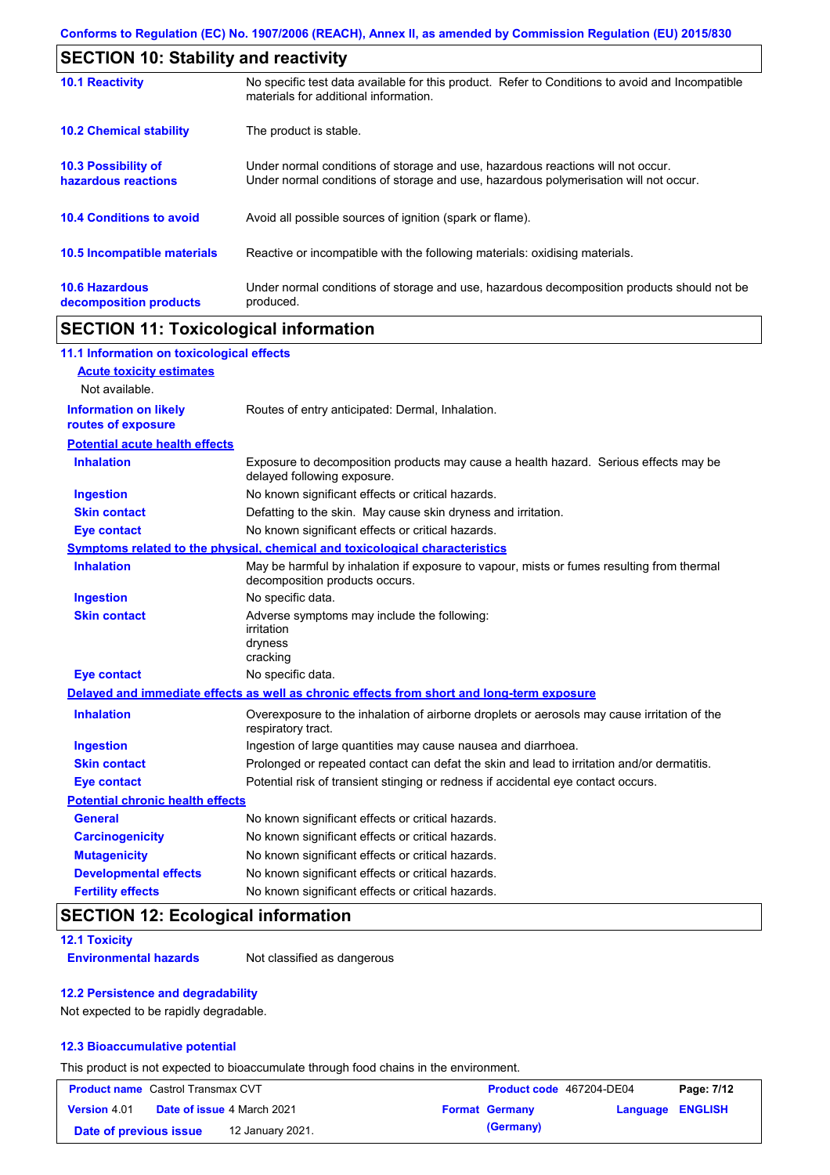| <b>SECTION 10: Stability and reactivity</b>       |                                                                                                                                                                         |  |  |
|---------------------------------------------------|-------------------------------------------------------------------------------------------------------------------------------------------------------------------------|--|--|
| <b>10.1 Reactivity</b>                            | No specific test data available for this product. Refer to Conditions to avoid and Incompatible<br>materials for additional information.                                |  |  |
| <b>10.2 Chemical stability</b>                    | The product is stable.                                                                                                                                                  |  |  |
| <b>10.3 Possibility of</b><br>hazardous reactions | Under normal conditions of storage and use, hazardous reactions will not occur.<br>Under normal conditions of storage and use, hazardous polymerisation will not occur. |  |  |
| <b>10.4 Conditions to avoid</b>                   | Avoid all possible sources of ignition (spark or flame).                                                                                                                |  |  |
| <b>10.5 Incompatible materials</b>                | Reactive or incompatible with the following materials: oxidising materials.                                                                                             |  |  |
| <b>10.6 Hazardous</b><br>decomposition products   | Under normal conditions of storage and use, hazardous decomposition products should not be<br>produced.                                                                 |  |  |

# **SECTION 11: Toxicological information**

| 11.1 Information on toxicological effects          |                                                                                                                             |
|----------------------------------------------------|-----------------------------------------------------------------------------------------------------------------------------|
| <b>Acute toxicity estimates</b>                    |                                                                                                                             |
| Not available.                                     |                                                                                                                             |
| <b>Information on likely</b><br>routes of exposure | Routes of entry anticipated: Dermal, Inhalation.                                                                            |
| <b>Potential acute health effects</b>              |                                                                                                                             |
| <b>Inhalation</b>                                  | Exposure to decomposition products may cause a health hazard. Serious effects may be<br>delayed following exposure.         |
| <b>Ingestion</b>                                   | No known significant effects or critical hazards.                                                                           |
| <b>Skin contact</b>                                | Defatting to the skin. May cause skin dryness and irritation.                                                               |
| <b>Eye contact</b>                                 | No known significant effects or critical hazards.                                                                           |
|                                                    | Symptoms related to the physical, chemical and toxicological characteristics                                                |
| <b>Inhalation</b>                                  | May be harmful by inhalation if exposure to vapour, mists or fumes resulting from thermal<br>decomposition products occurs. |
| <b>Ingestion</b>                                   | No specific data.                                                                                                           |
| <b>Skin contact</b>                                | Adverse symptoms may include the following:<br>irritation<br>dryness<br>cracking                                            |
| <b>Eye contact</b>                                 | No specific data.                                                                                                           |
|                                                    | Delayed and immediate effects as well as chronic effects from short and long-term exposure                                  |
| <b>Inhalation</b>                                  | Overexposure to the inhalation of airborne droplets or aerosols may cause irritation of the<br>respiratory tract.           |
| <b>Ingestion</b>                                   | Ingestion of large quantities may cause nausea and diarrhoea.                                                               |
| <b>Skin contact</b>                                | Prolonged or repeated contact can defat the skin and lead to irritation and/or dermatitis.                                  |
| <b>Eye contact</b>                                 | Potential risk of transient stinging or redness if accidental eye contact occurs.                                           |
| <b>Potential chronic health effects</b>            |                                                                                                                             |
| <b>General</b>                                     | No known significant effects or critical hazards.                                                                           |
| <b>Carcinogenicity</b>                             | No known significant effects or critical hazards.                                                                           |
| <b>Mutagenicity</b>                                | No known significant effects or critical hazards.                                                                           |
| <b>Developmental effects</b>                       | No known significant effects or critical hazards.                                                                           |
| <b>Fertility effects</b>                           | No known significant effects or critical hazards.                                                                           |

# **SECTION 12: Ecological information**

#### **12.1 Toxicity**

**Environmental hazards** Not classified as dangerous

#### **12.2 Persistence and degradability**

Not expected to be rapidly degradable.

#### **12.3 Bioaccumulative potential**

This product is not expected to bioaccumulate through food chains in the environment.

| <b>Product name</b> Castrol Transmax CVT |  | Product code 467204-DE04          |  | Page: 7/12            |                         |  |
|------------------------------------------|--|-----------------------------------|--|-----------------------|-------------------------|--|
| <b>Version 4.01</b>                      |  | <b>Date of issue 4 March 2021</b> |  | <b>Format Germany</b> | <b>Language ENGLISH</b> |  |
| Date of previous issue                   |  | 12 January 2021.                  |  | (Germany)             |                         |  |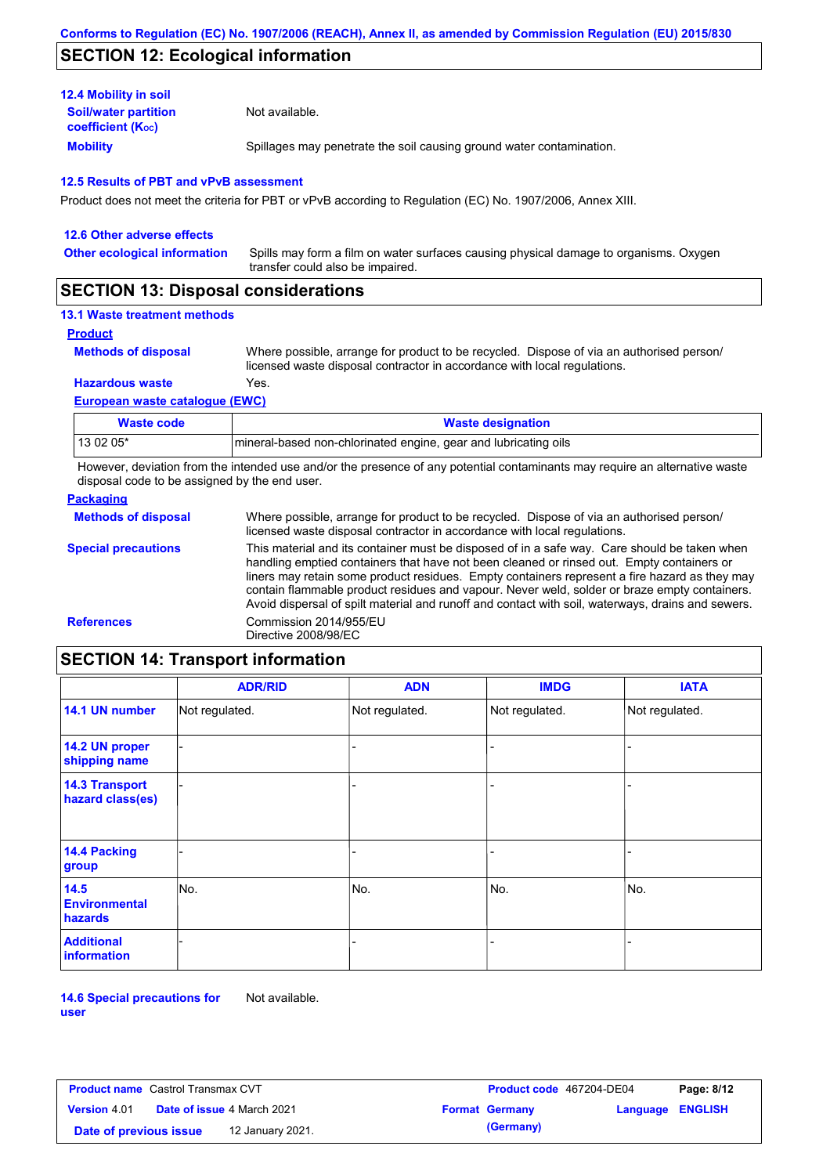# **SECTION 12: Ecological information**

| <b>12.4 Mobility in soil</b>                            |                                                                      |
|---------------------------------------------------------|----------------------------------------------------------------------|
| <b>Soil/water partition</b><br><b>coefficient (Koc)</b> | Not available.                                                       |
| <b>Mobility</b>                                         | Spillages may penetrate the soil causing ground water contamination. |

#### **12.5 Results of PBT and vPvB assessment**

Product does not meet the criteria for PBT or vPvB according to Regulation (EC) No. 1907/2006, Annex XIII.

| 12.6 Other adverse effects          |                                                                                                                           |
|-------------------------------------|---------------------------------------------------------------------------------------------------------------------------|
| <b>Other ecological information</b> | Spills may form a film on water surfaces causing physical damage to organisms. Oxygen<br>transfer could also be impaired. |
|                                     |                                                                                                                           |

## **SECTION 13: Disposal considerations**

### **13.1 Waste treatment methods**

**Product**

```
Methods of disposal
```
Where possible, arrange for product to be recycled. Dispose of via an authorised person/ licensed waste disposal contractor in accordance with local regulations.

**Hazardous waste** Yes.

#### **European waste catalogue (EWC)**

| Waste code | <b>Waste designation</b>                                        |
|------------|-----------------------------------------------------------------|
| 13 02 05*  | mineral-based non-chlorinated engine, gear and lubricating oils |

However, deviation from the intended use and/or the presence of any potential contaminants may require an alternative waste disposal code to be assigned by the end user.

### **Packaging**

| <b>Methods of disposal</b> | Where possible, arrange for product to be recycled. Dispose of via an authorised person/<br>licensed waste disposal contractor in accordance with local regulations.                                                                                                                                                                                                                                                                                                                            |
|----------------------------|-------------------------------------------------------------------------------------------------------------------------------------------------------------------------------------------------------------------------------------------------------------------------------------------------------------------------------------------------------------------------------------------------------------------------------------------------------------------------------------------------|
| <b>Special precautions</b> | This material and its container must be disposed of in a safe way. Care should be taken when<br>handling emptied containers that have not been cleaned or rinsed out. Empty containers or<br>liners may retain some product residues. Empty containers represent a fire hazard as they may<br>contain flammable product residues and vapour. Never weld, solder or braze empty containers.<br>Avoid dispersal of spilt material and runoff and contact with soil, waterways, drains and sewers. |
| <b>References</b>          | Commission 2014/955/EU<br>Directive 2008/98/EC                                                                                                                                                                                                                                                                                                                                                                                                                                                  |

# **SECTION 14: Transport information**

|                                           | <b>ADR/RID</b> | <b>ADN</b>     | <b>IMDG</b>    | <b>IATA</b>    |  |  |
|-------------------------------------------|----------------|----------------|----------------|----------------|--|--|
| 14.1 UN number                            | Not regulated. | Not regulated. | Not regulated. | Not regulated. |  |  |
| 14.2 UN proper<br>shipping name           |                |                |                |                |  |  |
| <b>14.3 Transport</b><br>hazard class(es) |                |                |                |                |  |  |
| 14.4 Packing<br>group                     |                |                | -              |                |  |  |
| 14.5<br><b>Environmental</b><br>hazards   | No.            | No.            | No.            | No.            |  |  |
| <b>Additional</b><br>information          |                |                | ۰              |                |  |  |

**14.6 Special precautions for user** Not available.

| <b>Product name</b> Castrol Transmax CVT |                                   |                  | <b>Product code</b> 467204-DE04 |                       | Page: 8/12              |  |
|------------------------------------------|-----------------------------------|------------------|---------------------------------|-----------------------|-------------------------|--|
| <b>Version 4.01</b>                      | <b>Date of issue 4 March 2021</b> |                  |                                 | <b>Format Germany</b> | <b>Language ENGLISH</b> |  |
| Date of previous issue                   |                                   | 12 January 2021. |                                 | (Germany)             |                         |  |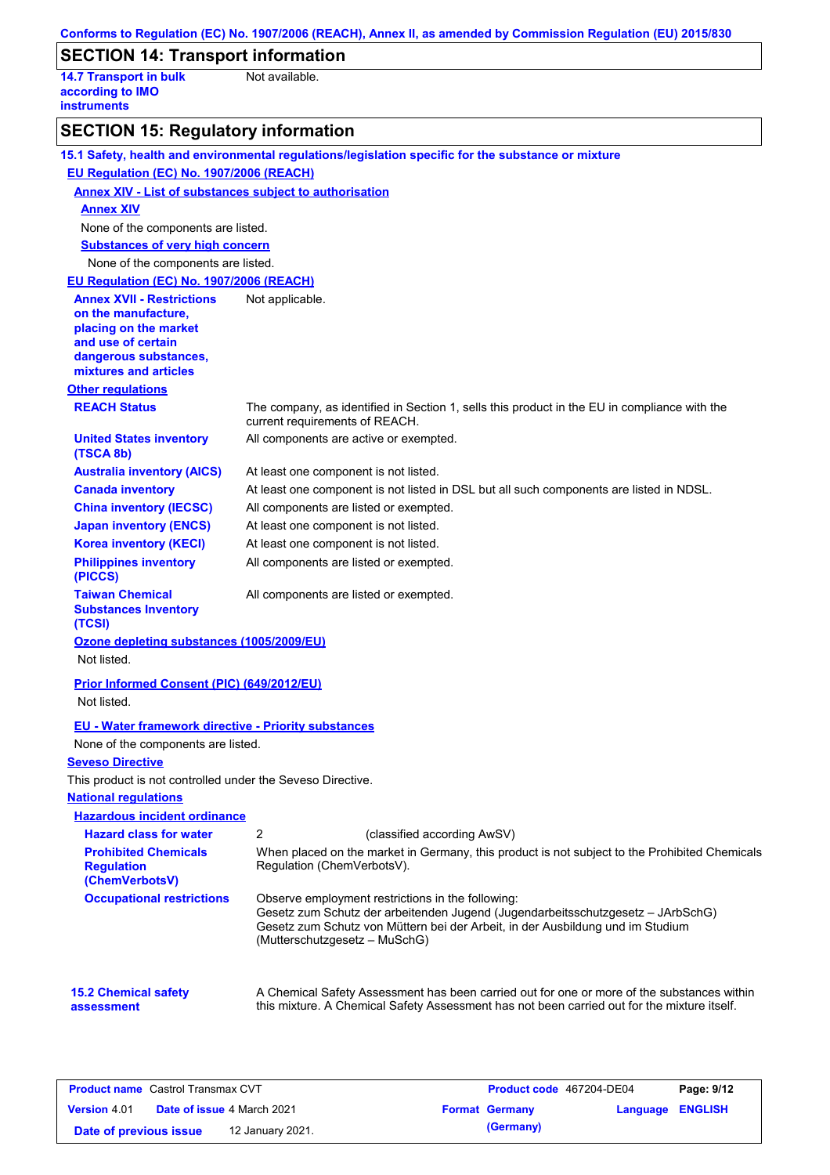|                                                                         | Conforms to Regulation (EC) No. 1907/2006 (REACH), Annex II, as amended by Commission Regulation (EU) 2015/830                                                                                                                                          |
|-------------------------------------------------------------------------|---------------------------------------------------------------------------------------------------------------------------------------------------------------------------------------------------------------------------------------------------------|
| <b>SECTION 14: Transport information</b>                                |                                                                                                                                                                                                                                                         |
| <b>14.7 Transport in bulk</b><br>according to IMO<br><b>instruments</b> | Not available.                                                                                                                                                                                                                                          |
| <b>SECTION 15: Regulatory information</b>                               |                                                                                                                                                                                                                                                         |
|                                                                         | 15.1 Safety, health and environmental regulations/legislation specific for the substance or mixture                                                                                                                                                     |
| EU Regulation (EC) No. 1907/2006 (REACH)                                |                                                                                                                                                                                                                                                         |
| <b>Annex XIV - List of substances subject to authorisation</b>          |                                                                                                                                                                                                                                                         |
| <b>Annex XIV</b>                                                        |                                                                                                                                                                                                                                                         |
| None of the components are listed.                                      |                                                                                                                                                                                                                                                         |
| <b>Substances of very high concern</b>                                  |                                                                                                                                                                                                                                                         |
| None of the components are listed.                                      |                                                                                                                                                                                                                                                         |
| EU Regulation (EC) No. 1907/2006 (REACH)                                |                                                                                                                                                                                                                                                         |
| <b>Annex XVII - Restrictions</b>                                        | Not applicable.                                                                                                                                                                                                                                         |
| on the manufacture,<br>placing on the market                            |                                                                                                                                                                                                                                                         |
| and use of certain                                                      |                                                                                                                                                                                                                                                         |
| dangerous substances,<br>mixtures and articles                          |                                                                                                                                                                                                                                                         |
| <b>Other regulations</b>                                                |                                                                                                                                                                                                                                                         |
| <b>REACH Status</b>                                                     | The company, as identified in Section 1, sells this product in the EU in compliance with the<br>current requirements of REACH.                                                                                                                          |
| <b>United States inventory</b><br>(TSCA 8b)                             | All components are active or exempted.                                                                                                                                                                                                                  |
| <b>Australia inventory (AICS)</b>                                       | At least one component is not listed.                                                                                                                                                                                                                   |
| <b>Canada inventory</b>                                                 | At least one component is not listed in DSL but all such components are listed in NDSL.                                                                                                                                                                 |
| <b>China inventory (IECSC)</b>                                          | All components are listed or exempted.                                                                                                                                                                                                                  |
| <b>Japan inventory (ENCS)</b>                                           | At least one component is not listed.                                                                                                                                                                                                                   |
| <b>Korea inventory (KECI)</b>                                           | At least one component is not listed.                                                                                                                                                                                                                   |
| <b>Philippines inventory</b><br>(PICCS)                                 | All components are listed or exempted.                                                                                                                                                                                                                  |
| <b>Taiwan Chemical</b><br><b>Substances Inventory</b><br>(TCSI)         | All components are listed or exempted.                                                                                                                                                                                                                  |
| Ozone depleting substances (1005/2009/EU)                               |                                                                                                                                                                                                                                                         |
| Not listed.                                                             |                                                                                                                                                                                                                                                         |
| Prior Informed Consent (PIC) (649/2012/EU)                              |                                                                                                                                                                                                                                                         |
| Not listed.                                                             |                                                                                                                                                                                                                                                         |
| <b>EU - Water framework directive - Priority substances</b>             |                                                                                                                                                                                                                                                         |
| None of the components are listed.                                      |                                                                                                                                                                                                                                                         |
| <b>Seveso Directive</b>                                                 |                                                                                                                                                                                                                                                         |
| This product is not controlled under the Seveso Directive.              |                                                                                                                                                                                                                                                         |
| <b>National regulations</b>                                             |                                                                                                                                                                                                                                                         |
| <b>Hazardous incident ordinance</b>                                     |                                                                                                                                                                                                                                                         |
| <b>Hazard class for water</b>                                           | $\overline{2}$<br>(classified according AwSV)                                                                                                                                                                                                           |
| <b>Prohibited Chemicals</b><br><b>Regulation</b><br>(ChemVerbotsV)      | When placed on the market in Germany, this product is not subject to the Prohibited Chemicals<br>Regulation (ChemVerbotsV).                                                                                                                             |
| <b>Occupational restrictions</b>                                        | Observe employment restrictions in the following:<br>Gesetz zum Schutz der arbeitenden Jugend (Jugendarbeitsschutzgesetz - JArbSchG)<br>Gesetz zum Schutz von Müttern bei der Arbeit, in der Ausbildung und im Studium<br>(Mutterschutzgesetz - MuSchG) |
| <b>15.2 Chemical safety</b><br>assessment                               | A Chemical Safety Assessment has been carried out for one or more of the substances within<br>this mixture. A Chemical Safety Assessment has not been carried out for the mixture itself.                                                               |

| <b>Product name</b> Castrol Transmax CVT |                                   |                  | <b>Product code</b> 467204-DE04 |                       | Page: 9/12       |  |
|------------------------------------------|-----------------------------------|------------------|---------------------------------|-----------------------|------------------|--|
| <b>Version</b> 4.01                      | <b>Date of issue 4 March 2021</b> |                  |                                 | <b>Format Germany</b> | Language ENGLISH |  |
| Date of previous issue                   |                                   | 12 January 2021. |                                 | (Germany)             |                  |  |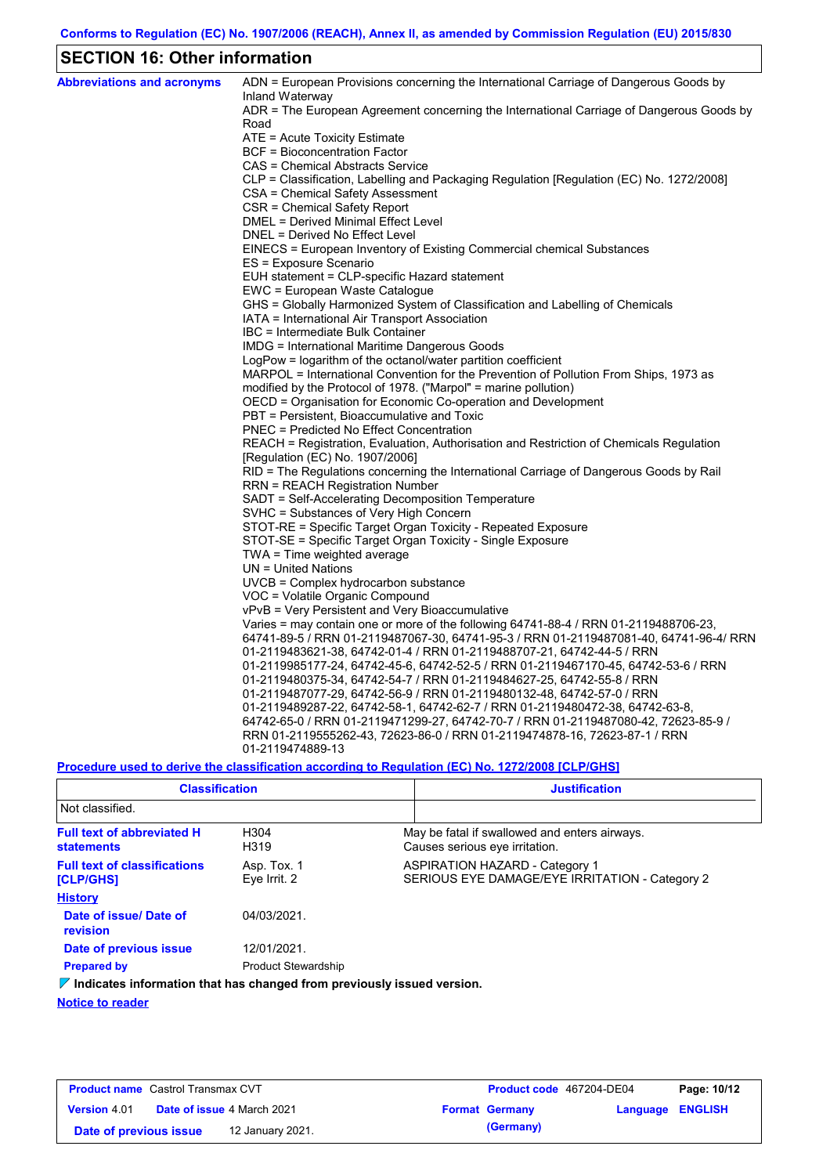# **SECTION 16: Other information**

| <b>Abbreviations and acronyms</b> | ADN = European Provisions concerning the International Carriage of Dangerous Goods by                       |
|-----------------------------------|-------------------------------------------------------------------------------------------------------------|
|                                   | Inland Waterway<br>ADR = The European Agreement concerning the International Carriage of Dangerous Goods by |
|                                   | Road                                                                                                        |
|                                   | ATE = Acute Toxicity Estimate                                                                               |
|                                   | <b>BCF</b> = Bioconcentration Factor                                                                        |
|                                   | CAS = Chemical Abstracts Service                                                                            |
|                                   | CLP = Classification, Labelling and Packaging Regulation [Regulation (EC) No. 1272/2008]                    |
|                                   | CSA = Chemical Safety Assessment                                                                            |
|                                   | CSR = Chemical Safety Report                                                                                |
|                                   | DMEL = Derived Minimal Effect Level                                                                         |
|                                   | DNEL = Derived No Effect Level                                                                              |
|                                   | EINECS = European Inventory of Existing Commercial chemical Substances                                      |
|                                   | ES = Exposure Scenario                                                                                      |
|                                   | EUH statement = CLP-specific Hazard statement                                                               |
|                                   | EWC = European Waste Catalogue                                                                              |
|                                   | GHS = Globally Harmonized System of Classification and Labelling of Chemicals                               |
|                                   | IATA = International Air Transport Association<br>IBC = Intermediate Bulk Container                         |
|                                   | IMDG = International Maritime Dangerous Goods                                                               |
|                                   | LogPow = logarithm of the octanol/water partition coefficient                                               |
|                                   | MARPOL = International Convention for the Prevention of Pollution From Ships, 1973 as                       |
|                                   | modified by the Protocol of 1978. ("Marpol" = marine pollution)                                             |
|                                   | OECD = Organisation for Economic Co-operation and Development                                               |
|                                   | PBT = Persistent, Bioaccumulative and Toxic                                                                 |
|                                   | <b>PNEC = Predicted No Effect Concentration</b>                                                             |
|                                   | REACH = Registration, Evaluation, Authorisation and Restriction of Chemicals Regulation                     |
|                                   | [Regulation (EC) No. 1907/2006]                                                                             |
|                                   | RID = The Regulations concerning the International Carriage of Dangerous Goods by Rail                      |
|                                   | <b>RRN = REACH Registration Number</b>                                                                      |
|                                   | SADT = Self-Accelerating Decomposition Temperature                                                          |
|                                   | SVHC = Substances of Very High Concern                                                                      |
|                                   | STOT-RE = Specific Target Organ Toxicity - Repeated Exposure                                                |
|                                   | STOT-SE = Specific Target Organ Toxicity - Single Exposure                                                  |
|                                   | TWA = Time weighted average                                                                                 |
|                                   | $UN = United Nations$                                                                                       |
|                                   | UVCB = Complex hydrocarbon substance                                                                        |
|                                   | VOC = Volatile Organic Compound                                                                             |
|                                   | vPvB = Very Persistent and Very Bioaccumulative                                                             |
|                                   | Varies = may contain one or more of the following 64741-88-4 / RRN 01-2119488706-23,                        |
|                                   | 64741-89-5 / RRN 01-2119487067-30, 64741-95-3 / RRN 01-2119487081-40, 64741-96-4/ RRN                       |
|                                   | 01-2119483621-38, 64742-01-4 / RRN 01-2119488707-21, 64742-44-5 / RRN                                       |
|                                   | 01-2119985177-24, 64742-45-6, 64742-52-5 / RRN 01-2119467170-45, 64742-53-6 / RRN                           |
|                                   | 01-2119480375-34, 64742-54-7 / RRN 01-2119484627-25, 64742-55-8 / RRN                                       |
|                                   | 01-2119487077-29, 64742-56-9 / RRN 01-2119480132-48, 64742-57-0 / RRN                                       |
|                                   | 01-2119489287-22, 64742-58-1, 64742-62-7 / RRN 01-2119480472-38, 64742-63-8,                                |
|                                   | 64742-65-0 / RRN 01-2119471299-27, 64742-70-7 / RRN 01-2119487080-42, 72623-85-9 /                          |
|                                   | RRN 01-2119555262-43, 72623-86-0 / RRN 01-2119474878-16, 72623-87-1 / RRN                                   |
|                                   | 01-2119474889-13                                                                                            |

**Procedure used to derive the classification according to Regulation (EC) No. 1272/2008 [CLP/GHS]**

| <b>Classification</b><br>Not classified.                                      |                             | <b>Justification</b>                                                                    |  |
|-------------------------------------------------------------------------------|-----------------------------|-----------------------------------------------------------------------------------------|--|
|                                                                               |                             |                                                                                         |  |
| <b>Full text of abbreviated H</b><br><b>statements</b>                        | H304<br>H319                | May be fatal if swallowed and enters airways.<br>Causes serious eye irritation.         |  |
| <b>Full text of classifications</b><br>[CLP/GHS]                              | Asp. Tox. 1<br>Eye Irrit. 2 | <b>ASPIRATION HAZARD - Category 1</b><br>SERIOUS EYE DAMAGE/EYE IRRITATION - Category 2 |  |
| <b>History</b>                                                                |                             |                                                                                         |  |
| Date of issue/ Date of<br>revision                                            | 04/03/2021.                 |                                                                                         |  |
| Date of previous issue                                                        | 12/01/2021.                 |                                                                                         |  |
| <b>Prepared by</b>                                                            | <b>Product Stewardship</b>  |                                                                                         |  |
| $\Box$ ladiated information that has above adjoin monitorally isomal variance |                             |                                                                                         |  |

**Indicates information that has changed from previously issued version.**

**Notice to reader**

| <b>Product name</b> Castrol Transmax CVT |                                   |                  |  | <b>Product code</b> 467204-DE04 | Page: 10/12      |  |
|------------------------------------------|-----------------------------------|------------------|--|---------------------------------|------------------|--|
| <b>Version 4.01</b>                      | <b>Date of issue 4 March 2021</b> |                  |  | <b>Format Germany</b>           | Language ENGLISH |  |
| Date of previous issue                   |                                   | 12 January 2021. |  | (Germany)                       |                  |  |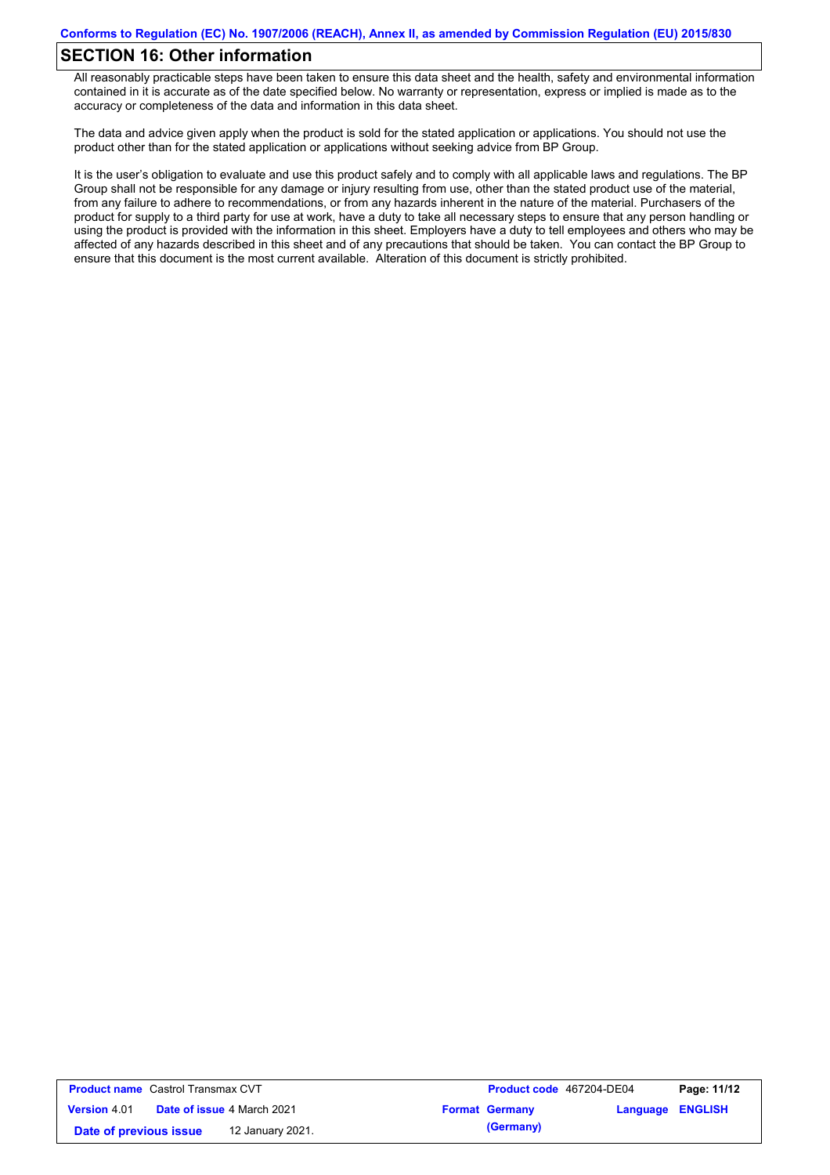# **SECTION 16: Other information**

All reasonably practicable steps have been taken to ensure this data sheet and the health, safety and environmental information contained in it is accurate as of the date specified below. No warranty or representation, express or implied is made as to the accuracy or completeness of the data and information in this data sheet.

The data and advice given apply when the product is sold for the stated application or applications. You should not use the product other than for the stated application or applications without seeking advice from BP Group.

It is the user's obligation to evaluate and use this product safely and to comply with all applicable laws and regulations. The BP Group shall not be responsible for any damage or injury resulting from use, other than the stated product use of the material, from any failure to adhere to recommendations, or from any hazards inherent in the nature of the material. Purchasers of the product for supply to a third party for use at work, have a duty to take all necessary steps to ensure that any person handling or using the product is provided with the information in this sheet. Employers have a duty to tell employees and others who may be affected of any hazards described in this sheet and of any precautions that should be taken. You can contact the BP Group to ensure that this document is the most current available. Alteration of this document is strictly prohibited.

| <b>Product name</b> Castrol Transmax CVT |                                   |                  | Product code 467204-DE04 |                         | Page: 11/12 |
|------------------------------------------|-----------------------------------|------------------|--------------------------|-------------------------|-------------|
| <b>Version 4.01</b>                      | <b>Date of issue 4 March 2021</b> |                  | <b>Format Germany</b>    | <b>Language ENGLISH</b> |             |
| Date of previous issue                   |                                   | 12 January 2021. | (Germany)                |                         |             |